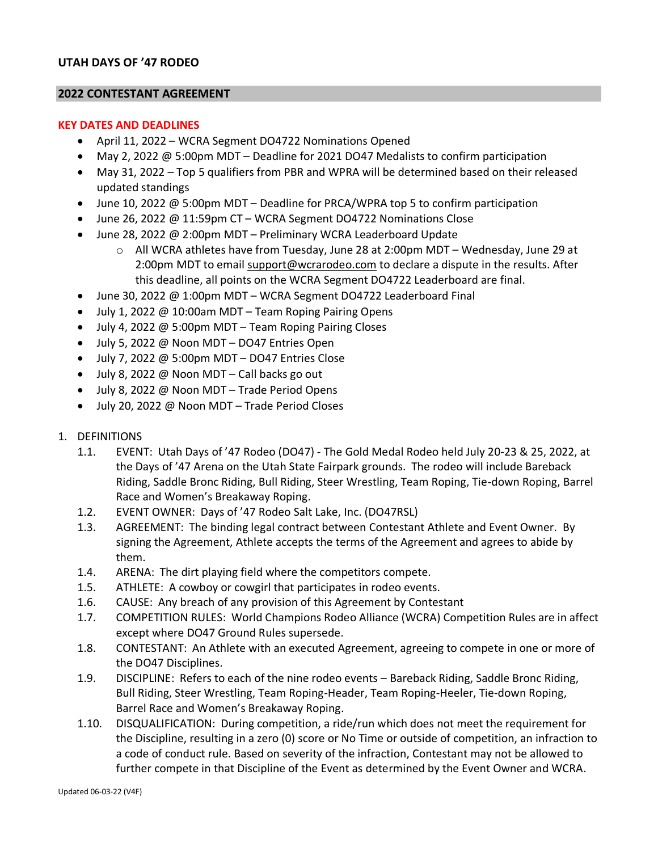### **UTAH DAYS OF '47 RODEO**

#### **2022 CONTESTANT AGREEMENT**

#### **KEY DATES AND DEADLINES**

- April 11, 2022 WCRA Segment DO4722 Nominations Opened
- May 2, 2022 @ 5:00pm MDT Deadline for 2021 DO47 Medalists to confirm participation
- May 31, 2022 Top 5 qualifiers from PBR and WPRA will be determined based on their released updated standings
- June 10, 2022 @ 5:00pm MDT Deadline for PRCA/WPRA top 5 to confirm participation
- June 26, 2022 @ 11:59pm CT WCRA Segment DO4722 Nominations Close
- June 28, 2022 @ 2:00pm MDT Preliminary WCRA Leaderboard Update
	- $\circ$  All WCRA athletes have from Tuesday, June 28 at 2:00pm MDT Wednesday, June 29 at 2:00pm MDT to email [support@wcrarodeo.com](mailto:support@wcrarodeo.com) to declare a dispute in the results. After this deadline, all points on the WCRA Segment DO4722 Leaderboard are final.
- June 30, 2022 @ 1:00pm MDT WCRA Segment DO4722 Leaderboard Final
- July 1, 2022 @ 10:00am MDT Team Roping Pairing Opens
- July 4, 2022 @ 5:00pm MDT Team Roping Pairing Closes
- July 5, 2022 @ Noon MDT DO47 Entries Open
- July 7, 2022  $\omega$  5:00pm MDT DO47 Entries Close
- July 8, 2022 @ Noon MDT Call backs go out
- July 8, 2022 @ Noon MDT Trade Period Opens
- July 20, 2022 @ Noon MDT Trade Period Closes
- 1. DEFINITIONS
	- 1.1. EVENT: Utah Days of '47 Rodeo (DO47) The Gold Medal Rodeo held July 20-23 & 25, 2022, at the Days of '47 Arena on the Utah State Fairpark grounds. The rodeo will include Bareback Riding, Saddle Bronc Riding, Bull Riding, Steer Wrestling, Team Roping, Tie-down Roping, Barrel Race and Women's Breakaway Roping.
	- 1.2. EVENT OWNER: Days of '47 Rodeo Salt Lake, Inc. (DO47RSL)
	- 1.3. AGREEMENT: The binding legal contract between Contestant Athlete and Event Owner. By signing the Agreement, Athlete accepts the terms of the Agreement and agrees to abide by them.
	- 1.4. ARENA: The dirt playing field where the competitors compete.
	- 1.5. ATHLETE: A cowboy or cowgirl that participates in rodeo events.
	- 1.6. CAUSE: Any breach of any provision of this Agreement by Contestant
	- 1.7. COMPETITION RULES: World Champions Rodeo Alliance (WCRA) Competition Rules are in affect except where DO47 Ground Rules supersede.
	- 1.8. CONTESTANT: An Athlete with an executed Agreement, agreeing to compete in one or more of the DO47 Disciplines.
	- 1.9. DISCIPLINE: Refers to each of the nine rodeo events Bareback Riding, Saddle Bronc Riding, Bull Riding, Steer Wrestling, Team Roping-Header, Team Roping-Heeler, Tie-down Roping, Barrel Race and Women's Breakaway Roping.
	- 1.10. DISQUALIFICATION: During competition, a ride/run which does not meet the requirement for the Discipline, resulting in a zero (0) score or No Time or outside of competition, an infraction to a code of conduct rule. Based on severity of the infraction, Contestant may not be allowed to further compete in that Discipline of the Event as determined by the Event Owner and WCRA.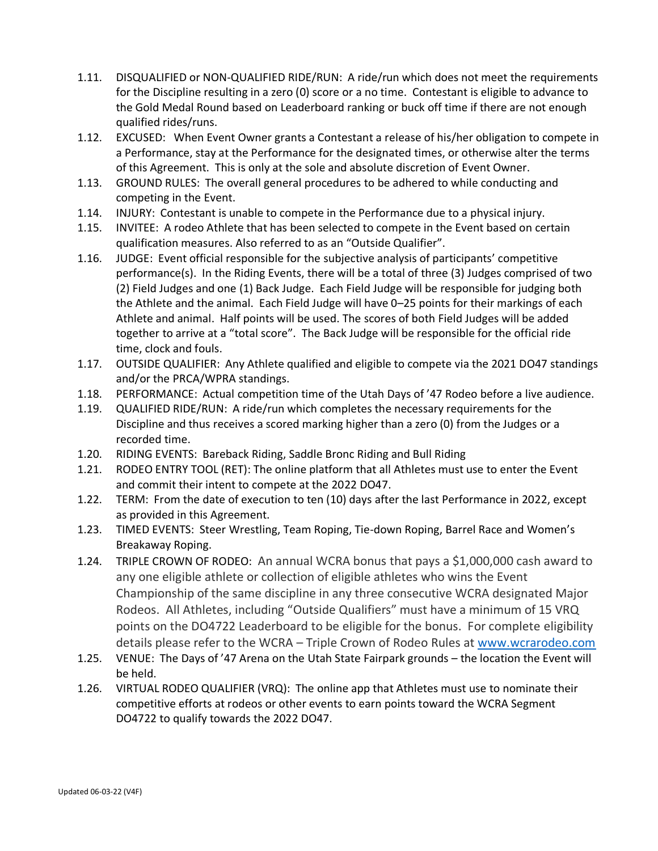- 1.11. DISQUALIFIED or NON-QUALIFIED RIDE/RUN: A ride/run which does not meet the requirements for the Discipline resulting in a zero (0) score or a no time. Contestant is eligible to advance to the Gold Medal Round based on Leaderboard ranking or buck off time if there are not enough qualified rides/runs.
- 1.12. EXCUSED: When Event Owner grants a Contestant a release of his/her obligation to compete in a Performance, stay at the Performance for the designated times, or otherwise alter the terms of this Agreement. This is only at the sole and absolute discretion of Event Owner.
- 1.13. GROUND RULES: The overall general procedures to be adhered to while conducting and competing in the Event.
- 1.14. INJURY: Contestant is unable to compete in the Performance due to a physical injury.
- 1.15. INVITEE: A rodeo Athlete that has been selected to compete in the Event based on certain qualification measures. Also referred to as an "Outside Qualifier".
- 1.16. JUDGE: Event official responsible for the subjective analysis of participants' competitive performance(s). In the Riding Events, there will be a total of three (3) Judges comprised of two (2) Field Judges and one (1) Back Judge. Each Field Judge will be responsible for judging both the Athlete and the animal. Each Field Judge will have 0–25 points for their markings of each Athlete and animal. Half points will be used. The scores of both Field Judges will be added together to arrive at a "total score". The Back Judge will be responsible for the official ride time, clock and fouls.
- 1.17. OUTSIDE QUALIFIER: Any Athlete qualified and eligible to compete via the 2021 DO47 standings and/or the PRCA/WPRA standings.
- 1.18. PERFORMANCE: Actual competition time of the Utah Days of '47 Rodeo before a live audience.
- 1.19. QUALIFIED RIDE/RUN: A ride/run which completes the necessary requirements for the Discipline and thus receives a scored marking higher than a zero (0) from the Judges or a recorded time.
- 1.20. RIDING EVENTS: Bareback Riding, Saddle Bronc Riding and Bull Riding
- 1.21. RODEO ENTRY TOOL (RET): The online platform that all Athletes must use to enter the Event and commit their intent to compete at the 2022 DO47.
- 1.22. TERM: From the date of execution to ten (10) days after the last Performance in 2022, except as provided in this Agreement.
- 1.23. TIMED EVENTS: Steer Wrestling, Team Roping, Tie-down Roping, Barrel Race and Women's Breakaway Roping.
- 1.24. TRIPLE CROWN OF RODEO: An annual WCRA bonus that pays a \$1,000,000 cash award to any one eligible athlete or collection of eligible athletes who wins the Event Championship of the same discipline in any three consecutive WCRA designated Major Rodeos. All Athletes, including "Outside Qualifiers" must have a minimum of 15 VRQ points on the DO4722 Leaderboard to be eligible for the bonus. For complete eligibility details please refer to the WCRA – Triple Crown of Rodeo Rules at [www.wcrarodeo.com](http://www.wcrarodeo.com/)
- 1.25. VENUE: The Days of '47 Arena on the Utah State Fairpark grounds the location the Event will be held.
- 1.26. VIRTUAL RODEO QUALIFIER (VRQ): The online app that Athletes must use to nominate their competitive efforts at rodeos or other events to earn points toward the WCRA Segment DO4722 to qualify towards the 2022 DO47.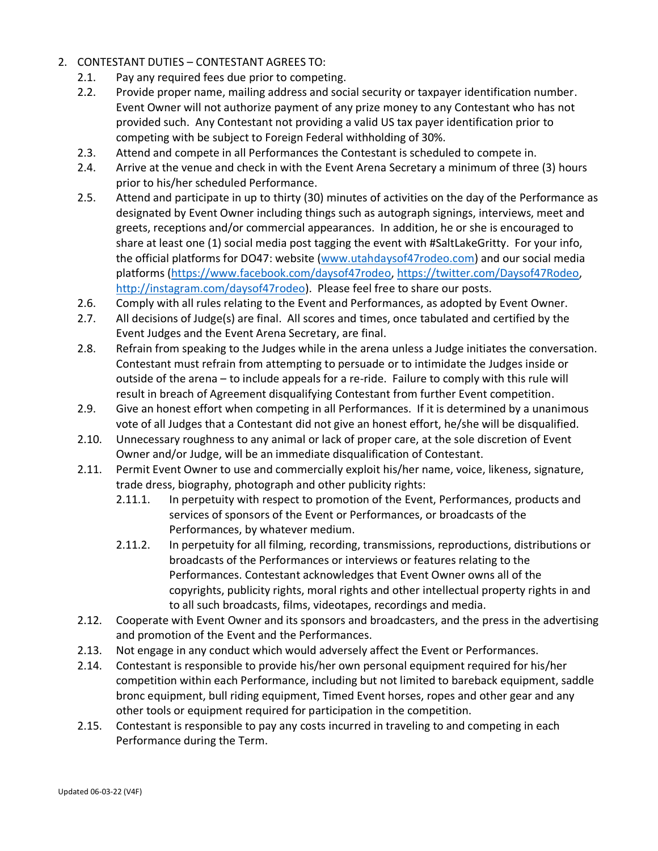- 2. CONTESTANT DUTIES CONTESTANT AGREES TO:
	- 2.1. Pay any required fees due prior to competing.
	- 2.2. Provide proper name, mailing address and social security or taxpayer identification number. Event Owner will not authorize payment of any prize money to any Contestant who has not provided such. Any Contestant not providing a valid US tax payer identification prior to competing with be subject to Foreign Federal withholding of 30%.
	- 2.3. Attend and compete in all Performances the Contestant is scheduled to compete in.
	- 2.4. Arrive at the venue and check in with the Event Arena Secretary a minimum of three (3) hours prior to his/her scheduled Performance.
	- 2.5. Attend and participate in up to thirty (30) minutes of activities on the day of the Performance as designated by Event Owner including things such as autograph signings, interviews, meet and greets, receptions and/or commercial appearances. In addition, he or she is encouraged to share at least one (1) social media post tagging the event with #SaltLakeGritty. For your info, the official platforms for DO47: website [\(www.utahdaysof47rodeo.com\)](http://www.utahdaysof47rodeo.com/) and our social media platforms [\(https://www.facebook.com/daysof47rodeo,](https://www.facebook.com/daysof47rodeo) [https://twitter.com/Daysof47Rodeo,](https://twitter.com/Daysof47Rodeo) [http://instagram.com/daysof47rodeo\)](http://instagram.com/daysof47rodeo). Please feel free to share our posts.
	- 2.6. Comply with all rules relating to the Event and Performances, as adopted by Event Owner.
	- 2.7. All decisions of Judge(s) are final. All scores and times, once tabulated and certified by the Event Judges and the Event Arena Secretary, are final.
	- 2.8. Refrain from speaking to the Judges while in the arena unless a Judge initiates the conversation. Contestant must refrain from attempting to persuade or to intimidate the Judges inside or outside of the arena – to include appeals for a re-ride. Failure to comply with this rule will result in breach of Agreement disqualifying Contestant from further Event competition.
	- 2.9. Give an honest effort when competing in all Performances. If it is determined by a unanimous vote of all Judges that a Contestant did not give an honest effort, he/she will be disqualified.
	- 2.10. Unnecessary roughness to any animal or lack of proper care, at the sole discretion of Event Owner and/or Judge, will be an immediate disqualification of Contestant.
	- 2.11. Permit Event Owner to use and commercially exploit his/her name, voice, likeness, signature, trade dress, biography, photograph and other publicity rights:
		- 2.11.1. In perpetuity with respect to promotion of the Event, Performances, products and services of sponsors of the Event or Performances, or broadcasts of the Performances, by whatever medium.
		- 2.11.2. In perpetuity for all filming, recording, transmissions, reproductions, distributions or broadcasts of the Performances or interviews or features relating to the Performances. Contestant acknowledges that Event Owner owns all of the copyrights, publicity rights, moral rights and other intellectual property rights in and to all such broadcasts, films, videotapes, recordings and media.
	- 2.12. Cooperate with Event Owner and its sponsors and broadcasters, and the press in the advertising and promotion of the Event and the Performances.
	- 2.13. Not engage in any conduct which would adversely affect the Event or Performances.
	- 2.14. Contestant is responsible to provide his/her own personal equipment required for his/her competition within each Performance, including but not limited to bareback equipment, saddle bronc equipment, bull riding equipment, Timed Event horses, ropes and other gear and any other tools or equipment required for participation in the competition.
	- 2.15. Contestant is responsible to pay any costs incurred in traveling to and competing in each Performance during the Term.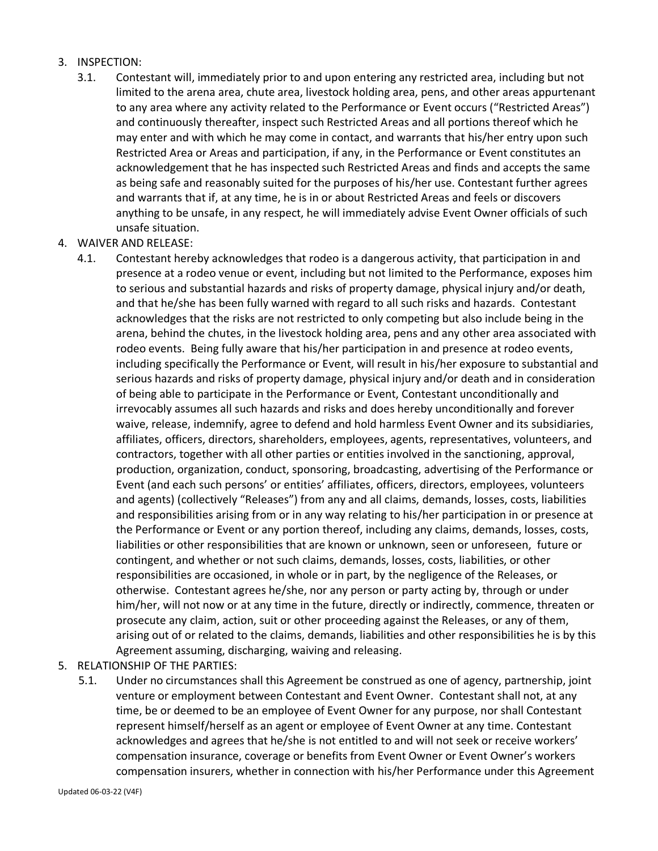### 3. INSPECTION:

- 3.1. Contestant will, immediately prior to and upon entering any restricted area, including but not limited to the arena area, chute area, livestock holding area, pens, and other areas appurtenant to any area where any activity related to the Performance or Event occurs ("Restricted Areas") and continuously thereafter, inspect such Restricted Areas and all portions thereof which he may enter and with which he may come in contact, and warrants that his/her entry upon such Restricted Area or Areas and participation, if any, in the Performance or Event constitutes an acknowledgement that he has inspected such Restricted Areas and finds and accepts the same as being safe and reasonably suited for the purposes of his/her use. Contestant further agrees and warrants that if, at any time, he is in or about Restricted Areas and feels or discovers anything to be unsafe, in any respect, he will immediately advise Event Owner officials of such unsafe situation.
- 4. WAIVER AND RELEASE:
	- 4.1. Contestant hereby acknowledges that rodeo is a dangerous activity, that participation in and presence at a rodeo venue or event, including but not limited to the Performance, exposes him to serious and substantial hazards and risks of property damage, physical injury and/or death, and that he/she has been fully warned with regard to all such risks and hazards. Contestant acknowledges that the risks are not restricted to only competing but also include being in the arena, behind the chutes, in the livestock holding area, pens and any other area associated with rodeo events. Being fully aware that his/her participation in and presence at rodeo events, including specifically the Performance or Event, will result in his/her exposure to substantial and serious hazards and risks of property damage, physical injury and/or death and in consideration of being able to participate in the Performance or Event, Contestant unconditionally and irrevocably assumes all such hazards and risks and does hereby unconditionally and forever waive, release, indemnify, agree to defend and hold harmless Event Owner and its subsidiaries, affiliates, officers, directors, shareholders, employees, agents, representatives, volunteers, and contractors, together with all other parties or entities involved in the sanctioning, approval, production, organization, conduct, sponsoring, broadcasting, advertising of the Performance or Event (and each such persons' or entities' affiliates, officers, directors, employees, volunteers and agents) (collectively "Releases") from any and all claims, demands, losses, costs, liabilities and responsibilities arising from or in any way relating to his/her participation in or presence at the Performance or Event or any portion thereof, including any claims, demands, losses, costs, liabilities or other responsibilities that are known or unknown, seen or unforeseen, future or contingent, and whether or not such claims, demands, losses, costs, liabilities, or other responsibilities are occasioned, in whole or in part, by the negligence of the Releases, or otherwise. Contestant agrees he/she, nor any person or party acting by, through or under him/her, will not now or at any time in the future, directly or indirectly, commence, threaten or prosecute any claim, action, suit or other proceeding against the Releases, or any of them, arising out of or related to the claims, demands, liabilities and other responsibilities he is by this Agreement assuming, discharging, waiving and releasing.
- 5. RELATIONSHIP OF THE PARTIES:
	- 5.1. Under no circumstances shall this Agreement be construed as one of agency, partnership, joint venture or employment between Contestant and Event Owner. Contestant shall not, at any time, be or deemed to be an employee of Event Owner for any purpose, nor shall Contestant represent himself/herself as an agent or employee of Event Owner at any time. Contestant acknowledges and agrees that he/she is not entitled to and will not seek or receive workers' compensation insurance, coverage or benefits from Event Owner or Event Owner's workers compensation insurers, whether in connection with his/her Performance under this Agreement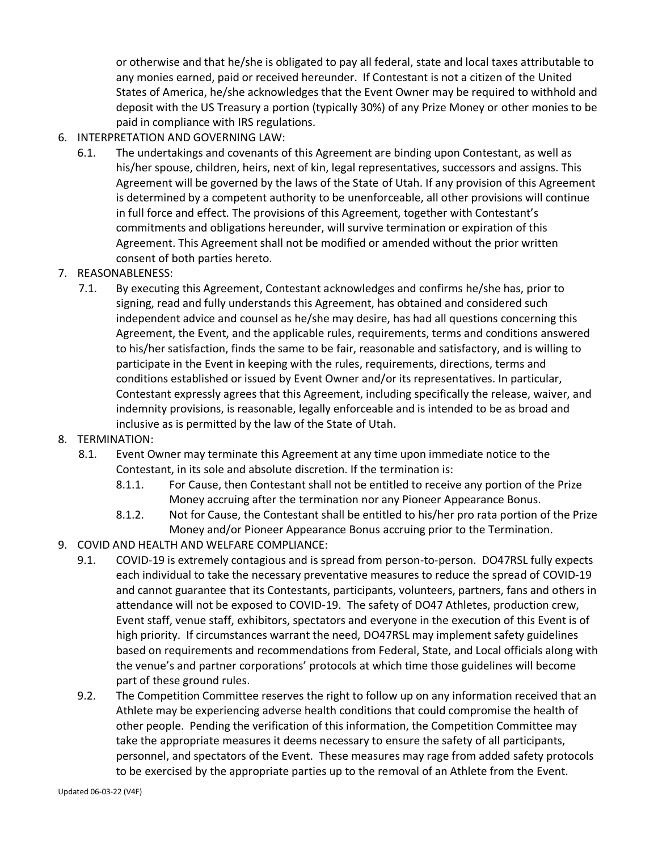or otherwise and that he/she is obligated to pay all federal, state and local taxes attributable to any monies earned, paid or received hereunder. If Contestant is not a citizen of the United States of America, he/she acknowledges that the Event Owner may be required to withhold and deposit with the US Treasury a portion (typically 30%) of any Prize Money or other monies to be paid in compliance with IRS regulations.

- 6. INTERPRETATION AND GOVERNING LAW:
	- 6.1. The undertakings and covenants of this Agreement are binding upon Contestant, as well as his/her spouse, children, heirs, next of kin, legal representatives, successors and assigns. This Agreement will be governed by the laws of the State of Utah. If any provision of this Agreement is determined by a competent authority to be unenforceable, all other provisions will continue in full force and effect. The provisions of this Agreement, together with Contestant's commitments and obligations hereunder, will survive termination or expiration of this Agreement. This Agreement shall not be modified or amended without the prior written consent of both parties hereto.
- 7. REASONABLENESS:
	- 7.1. By executing this Agreement, Contestant acknowledges and confirms he/she has, prior to signing, read and fully understands this Agreement, has obtained and considered such independent advice and counsel as he/she may desire, has had all questions concerning this Agreement, the Event, and the applicable rules, requirements, terms and conditions answered to his/her satisfaction, finds the same to be fair, reasonable and satisfactory, and is willing to participate in the Event in keeping with the rules, requirements, directions, terms and conditions established or issued by Event Owner and/or its representatives. In particular, Contestant expressly agrees that this Agreement, including specifically the release, waiver, and indemnity provisions, is reasonable, legally enforceable and is intended to be as broad and inclusive as is permitted by the law of the State of Utah.
- 8. TERMINATION:
	- 8.1. Event Owner may terminate this Agreement at any time upon immediate notice to the Contestant, in its sole and absolute discretion. If the termination is:
		- 8.1.1. For Cause, then Contestant shall not be entitled to receive any portion of the Prize Money accruing after the termination nor any Pioneer Appearance Bonus.
		- 8.1.2. Not for Cause, the Contestant shall be entitled to his/her pro rata portion of the Prize Money and/or Pioneer Appearance Bonus accruing prior to the Termination.
- 9. COVID AND HEALTH AND WELFARE COMPLIANCE:
	- 9.1. COVID-19 is extremely contagious and is spread from person-to-person. DO47RSL fully expects each individual to take the necessary preventative measures to reduce the spread of COVID-19 and cannot guarantee that its Contestants, participants, volunteers, partners, fans and others in attendance will not be exposed to COVID-19. The safety of DO47 Athletes, production crew, Event staff, venue staff, exhibitors, spectators and everyone in the execution of this Event is of high priority. If circumstances warrant the need, DO47RSL may implement safety guidelines based on requirements and recommendations from Federal, State, and Local officials along with the venue's and partner corporations' protocols at which time those guidelines will become part of these ground rules.
	- 9.2. The Competition Committee reserves the right to follow up on any information received that an Athlete may be experiencing adverse health conditions that could compromise the health of other people. Pending the verification of this information, the Competition Committee may take the appropriate measures it deems necessary to ensure the safety of all participants, personnel, and spectators of the Event. These measures may rage from added safety protocols to be exercised by the appropriate parties up to the removal of an Athlete from the Event.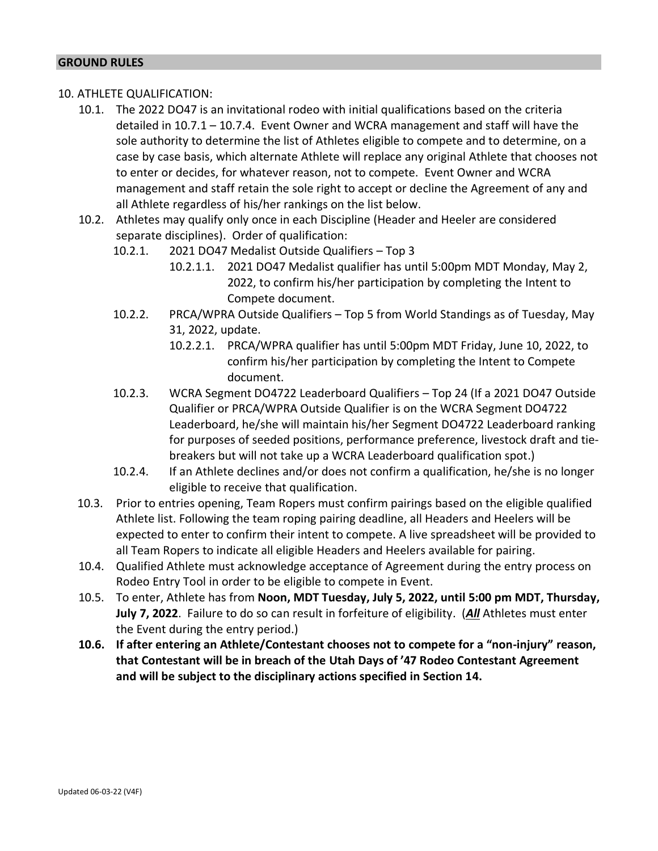### 10. ATHLETE QUALIFICATION:

- 10.1. The 2022 DO47 is an invitational rodeo with initial qualifications based on the criteria detailed in 10.7.1 – 10.7.4. Event Owner and WCRA management and staff will have the sole authority to determine the list of Athletes eligible to compete and to determine, on a case by case basis, which alternate Athlete will replace any original Athlete that chooses not to enter or decides, for whatever reason, not to compete. Event Owner and WCRA management and staff retain the sole right to accept or decline the Agreement of any and all Athlete regardless of his/her rankings on the list below.
- 10.2. Athletes may qualify only once in each Discipline (Header and Heeler are considered separate disciplines). Order of qualification:
	- 10.2.1. 2021 DO47 Medalist Outside Qualifiers Top 3
		- 10.2.1.1. 2021 DO47 Medalist qualifier has until 5:00pm MDT Monday, May 2, 2022, to confirm his/her participation by completing the Intent to Compete document.
	- 10.2.2. PRCA/WPRA Outside Qualifiers Top 5 from World Standings as of Tuesday, May 31, 2022, update.
		- 10.2.2.1. PRCA/WPRA qualifier has until 5:00pm MDT Friday, June 10, 2022, to confirm his/her participation by completing the Intent to Compete document.
	- 10.2.3. WCRA Segment DO4722 Leaderboard Qualifiers Top 24 (If a 2021 DO47 Outside Qualifier or PRCA/WPRA Outside Qualifier is on the WCRA Segment DO4722 Leaderboard, he/she will maintain his/her Segment DO4722 Leaderboard ranking for purposes of seeded positions, performance preference, livestock draft and tiebreakers but will not take up a WCRA Leaderboard qualification spot.)
	- 10.2.4. If an Athlete declines and/or does not confirm a qualification, he/she is no longer eligible to receive that qualification.
- 10.3. Prior to entries opening, Team Ropers must confirm pairings based on the eligible qualified Athlete list. Following the team roping pairing deadline, all Headers and Heelers will be expected to enter to confirm their intent to compete. A live spreadsheet will be provided to all Team Ropers to indicate all eligible Headers and Heelers available for pairing.
- 10.4. Qualified Athlete must acknowledge acceptance of Agreement during the entry process on Rodeo Entry Tool in order to be eligible to compete in Event.
- 10.5. To enter, Athlete has from **Noon, MDT Tuesday, July 5, 2022, until 5:00 pm MDT, Thursday, July 7, 2022**. Failure to do so can result in forfeiture of eligibility. (*All* Athletes must enter the Event during the entry period.)
- **10.6. If after entering an Athlete/Contestant chooses not to compete for a "non-injury" reason, that Contestant will be in breach of the Utah Days of '47 Rodeo Contestant Agreement and will be subject to the disciplinary actions specified in Section 14.**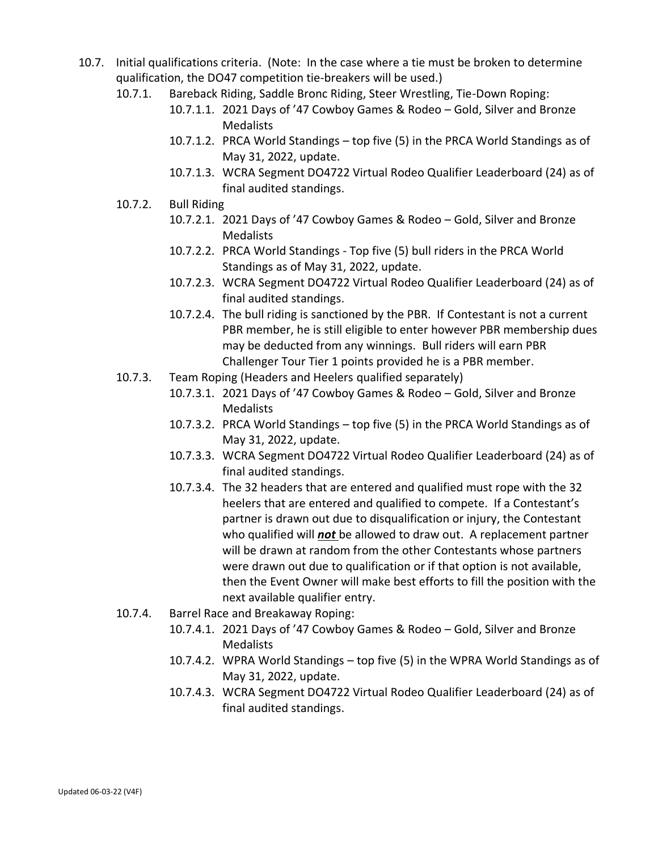- 10.7. Initial qualifications criteria. (Note: In the case where a tie must be broken to determine qualification, the DO47 competition tie-breakers will be used.)
	- 10.7.1. Bareback Riding, Saddle Bronc Riding, Steer Wrestling, Tie-Down Roping:
		- 10.7.1.1. 2021 Days of '47 Cowboy Games & Rodeo Gold, Silver and Bronze **Medalists**
		- 10.7.1.2. PRCA World Standings top five (5) in the PRCA World Standings as of May 31, 2022, update.
		- 10.7.1.3. WCRA Segment DO4722 Virtual Rodeo Qualifier Leaderboard (24) as of final audited standings.
	- 10.7.2. Bull Riding
		- 10.7.2.1. 2021 Days of '47 Cowboy Games & Rodeo Gold, Silver and Bronze **Medalists**
		- 10.7.2.2. PRCA World Standings Top five (5) bull riders in the PRCA World Standings as of May 31, 2022, update.
		- 10.7.2.3. WCRA Segment DO4722 Virtual Rodeo Qualifier Leaderboard (24) as of final audited standings.
		- 10.7.2.4. The bull riding is sanctioned by the PBR. If Contestant is not a current PBR member, he is still eligible to enter however PBR membership dues may be deducted from any winnings. Bull riders will earn PBR Challenger Tour Tier 1 points provided he is a PBR member.
	- 10.7.3. Team Roping (Headers and Heelers qualified separately)
		- 10.7.3.1. 2021 Days of '47 Cowboy Games & Rodeo Gold, Silver and Bronze **Medalists**
		- 10.7.3.2. PRCA World Standings top five (5) in the PRCA World Standings as of May 31, 2022, update.
		- 10.7.3.3. WCRA Segment DO4722 Virtual Rodeo Qualifier Leaderboard (24) as of final audited standings.
		- 10.7.3.4. The 32 headers that are entered and qualified must rope with the 32 heelers that are entered and qualified to compete. If a Contestant's partner is drawn out due to disqualification or injury, the Contestant who qualified will *not* be allowed to draw out. A replacement partner will be drawn at random from the other Contestants whose partners were drawn out due to qualification or if that option is not available, then the Event Owner will make best efforts to fill the position with the next available qualifier entry.
	- 10.7.4. Barrel Race and Breakaway Roping:
		- 10.7.4.1. 2021 Days of '47 Cowboy Games & Rodeo Gold, Silver and Bronze Medalists
		- 10.7.4.2. WPRA World Standings top five (5) in the WPRA World Standings as of May 31, 2022, update.
		- 10.7.4.3. WCRA Segment DO4722 Virtual Rodeo Qualifier Leaderboard (24) as of final audited standings.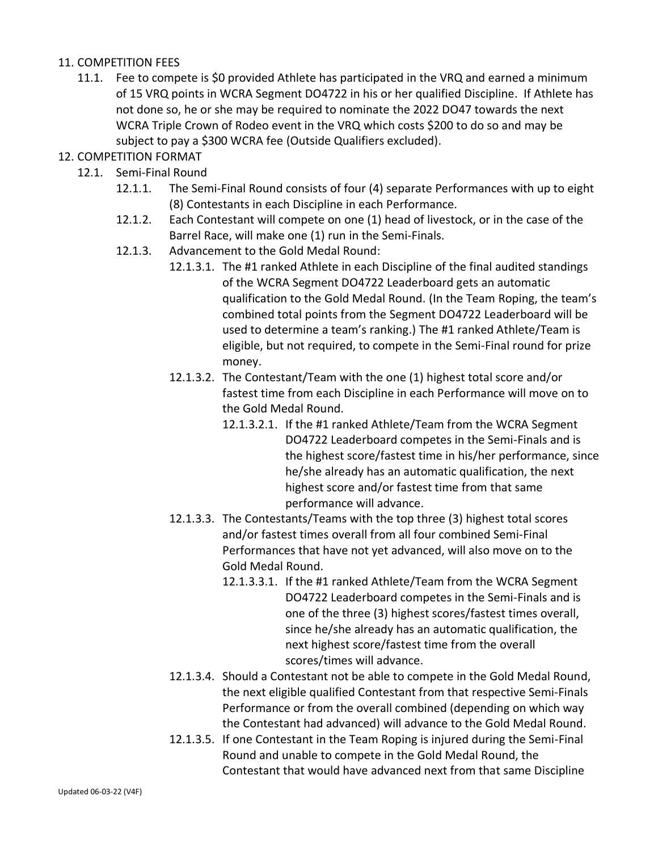## 11. COMPETITION FEES

- 11.1. Fee to compete is \$0 provided Athlete has participated in the VRQ and earned a minimum of 15 VRQ points in WCRA Segment DO4722 in his or her qualified Discipline. If Athlete has not done so, he or she may be required to nominate the 2022 DO47 towards the next WCRA Triple Crown of Rodeo event in the VRQ which costs \$200 to do so and may be subject to pay a \$300 WCRA fee (Outside Qualifiers excluded).
- 12. COMPETITION FORMAT
	- 12.1. Semi-Final Round
		- 12.1.1. The Semi-Final Round consists of four (4) separate Performances with up to eight (8) Contestants in each Discipline in each Performance.
		- 12.1.2. Each Contestant will compete on one (1) head of livestock, or in the case of the Barrel Race, will make one (1) run in the Semi-Finals.
		- 12.1.3. Advancement to the Gold Medal Round:
			- 12.1.3.1. The #1 ranked Athlete in each Discipline of the final audited standings of the WCRA Segment DO4722 Leaderboard gets an automatic qualification to the Gold Medal Round. (In the Team Roping, the team's combined total points from the Segment DO4722 Leaderboard will be used to determine a team's ranking.) The #1 ranked Athlete/Team is eligible, but not required, to compete in the Semi-Final round for prize money.
			- 12.1.3.2. The Contestant/Team with the one (1) highest total score and/or fastest time from each Discipline in each Performance will move on to the Gold Medal Round.
				- 12.1.3.2.1. If the #1 ranked Athlete/Team from the WCRA Segment DO4722 Leaderboard competes in the Semi-Finals and is the highest score/fastest time in his/her performance, since he/she already has an automatic qualification, the next highest score and/or fastest time from that same performance will advance.
			- 12.1.3.3. The Contestants/Teams with the top three (3) highest total scores and/or fastest times overall from all four combined Semi-Final Performances that have not yet advanced, will also move on to the Gold Medal Round.
				- 12.1.3.3.1. If the #1 ranked Athlete/Team from the WCRA Segment DO4722 Leaderboard competes in the Semi-Finals and is one of the three (3) highest scores/fastest times overall, since he/she already has an automatic qualification, the next highest score/fastest time from the overall scores/times will advance.
			- 12.1.3.4. Should a Contestant not be able to compete in the Gold Medal Round, the next eligible qualified Contestant from that respective Semi-Finals Performance or from the overall combined (depending on which way the Contestant had advanced) will advance to the Gold Medal Round.
			- 12.1.3.5. If one Contestant in the Team Roping is injured during the Semi-Final Round and unable to compete in the Gold Medal Round, the Contestant that would have advanced next from that same Discipline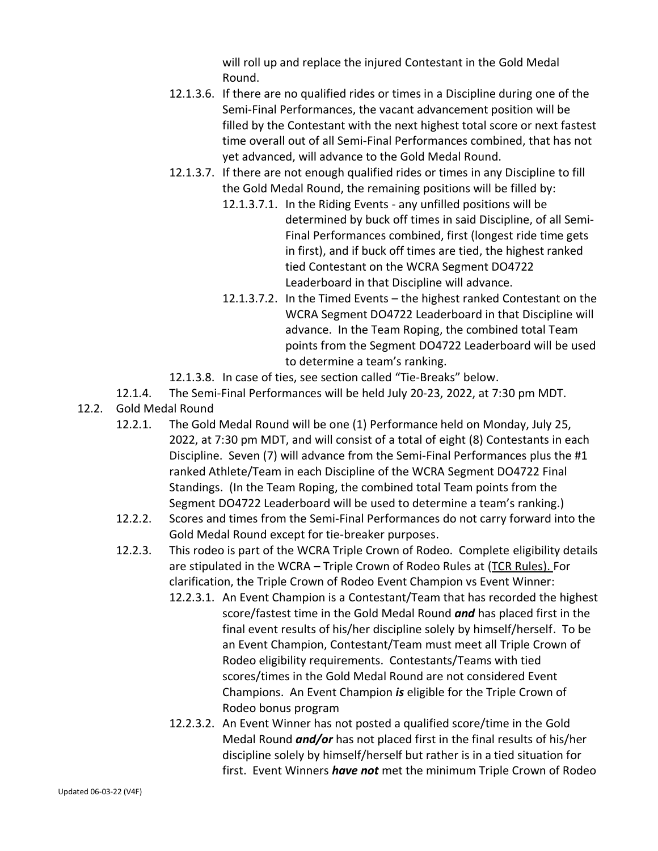will roll up and replace the injured Contestant in the Gold Medal Round.

- 12.1.3.6. If there are no qualified rides or times in a Discipline during one of the Semi-Final Performances, the vacant advancement position will be filled by the Contestant with the next highest total score or next fastest time overall out of all Semi-Final Performances combined, that has not yet advanced, will advance to the Gold Medal Round.
- 12.1.3.7. If there are not enough qualified rides or times in any Discipline to fill the Gold Medal Round, the remaining positions will be filled by:
	- 12.1.3.7.1. In the Riding Events any unfilled positions will be determined by buck off times in said Discipline, of all Semi-Final Performances combined, first (longest ride time gets in first), and if buck off times are tied, the highest ranked tied Contestant on the WCRA Segment DO4722 Leaderboard in that Discipline will advance.
	- 12.1.3.7.2. In the Timed Events the highest ranked Contestant on the WCRA Segment DO4722 Leaderboard in that Discipline will advance. In the Team Roping, the combined total Team points from the Segment DO4722 Leaderboard will be used to determine a team's ranking.
- 12.1.3.8. In case of ties, see section called "Tie-Breaks" below.
- 12.1.4. The Semi-Final Performances will be held July 20-23, 2022, at 7:30 pm MDT.
- 12.2. Gold Medal Round
	- 12.2.1. The Gold Medal Round will be one (1) Performance held on Monday, July 25, 2022, at 7:30 pm MDT, and will consist of a total of eight (8) Contestants in each Discipline. Seven (7) will advance from the Semi-Final Performances plus the #1 ranked Athlete/Team in each Discipline of the WCRA Segment DO4722 Final Standings. (In the Team Roping, the combined total Team points from the Segment DO4722 Leaderboard will be used to determine a team's ranking.)
	- 12.2.2. Scores and times from the Semi-Final Performances do not carry forward into the Gold Medal Round except for tie-breaker purposes.
	- 12.2.3. This rodeo is part of the WCRA Triple Crown of Rodeo. Complete eligibility details are stipulated in the WCRA – Triple Crown of Rodeo Rules at [\(TCR Rules\)](https://wcrarodeo.com/wp-content/uploads/WCRA-Triple-Crown-of-Rodeo-Rules.pdf). For clarification, the Triple Crown of Rodeo Event Champion vs Event Winner:
		- 12.2.3.1. An Event Champion is a Contestant/Team that has recorded the highest score/fastest time in the Gold Medal Round *and* has placed first in the final event results of his/her discipline solely by himself/herself. To be an Event Champion, Contestant/Team must meet all Triple Crown of Rodeo eligibility requirements. Contestants/Teams with tied scores/times in the Gold Medal Round are not considered Event Champions. An Event Champion *is* eligible for the Triple Crown of Rodeo bonus program
		- 12.2.3.2. An Event Winner has not posted a qualified score/time in the Gold Medal Round *and/or* has not placed first in the final results of his/her discipline solely by himself/herself but rather is in a tied situation for first. Event Winners *have not* met the minimum Triple Crown of Rodeo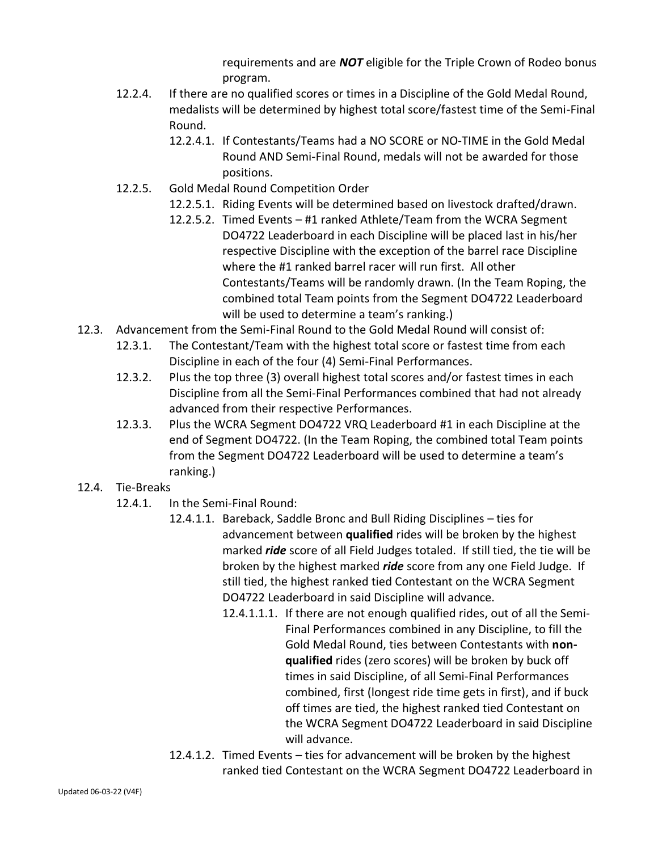requirements and are *NOT* eligible for the Triple Crown of Rodeo bonus program.

- 12.2.4. If there are no qualified scores or times in a Discipline of the Gold Medal Round, medalists will be determined by highest total score/fastest time of the Semi-Final Round.
	- 12.2.4.1. If Contestants/Teams had a NO SCORE or NO-TIME in the Gold Medal Round AND Semi-Final Round, medals will not be awarded for those positions.
- 12.2.5. Gold Medal Round Competition Order
	- 12.2.5.1. Riding Events will be determined based on livestock drafted/drawn.
	- 12.2.5.2. Timed Events #1 ranked Athlete/Team from the WCRA Segment DO4722 Leaderboard in each Discipline will be placed last in his/her respective Discipline with the exception of the barrel race Discipline where the #1 ranked barrel racer will run first. All other Contestants/Teams will be randomly drawn. (In the Team Roping, the combined total Team points from the Segment DO4722 Leaderboard will be used to determine a team's ranking.)
- 12.3. Advancement from the Semi-Final Round to the Gold Medal Round will consist of:
	- 12.3.1. The Contestant/Team with the highest total score or fastest time from each Discipline in each of the four (4) Semi-Final Performances.
	- 12.3.2. Plus the top three (3) overall highest total scores and/or fastest times in each Discipline from all the Semi-Final Performances combined that had not already advanced from their respective Performances.
	- 12.3.3. Plus the WCRA Segment DO4722 VRQ Leaderboard #1 in each Discipline at the end of Segment DO4722. (In the Team Roping, the combined total Team points from the Segment DO4722 Leaderboard will be used to determine a team's ranking.)
- 12.4. Tie-Breaks
	- 12.4.1. In the Semi-Final Round:
		- 12.4.1.1. Bareback, Saddle Bronc and Bull Riding Disciplines ties for advancement between **qualified** rides will be broken by the highest marked *ride* score of all Field Judges totaled. If still tied, the tie will be broken by the highest marked *ride* score from any one Field Judge. If still tied, the highest ranked tied Contestant on the WCRA Segment DO4722 Leaderboard in said Discipline will advance.
			- 12.4.1.1.1. If there are not enough qualified rides, out of all the Semi-Final Performances combined in any Discipline, to fill the Gold Medal Round, ties between Contestants with **nonqualified** rides (zero scores) will be broken by buck off times in said Discipline, of all Semi-Final Performances combined, first (longest ride time gets in first), and if buck off times are tied, the highest ranked tied Contestant on the WCRA Segment DO4722 Leaderboard in said Discipline will advance.
		- 12.4.1.2. Timed Events ties for advancement will be broken by the highest ranked tied Contestant on the WCRA Segment DO4722 Leaderboard in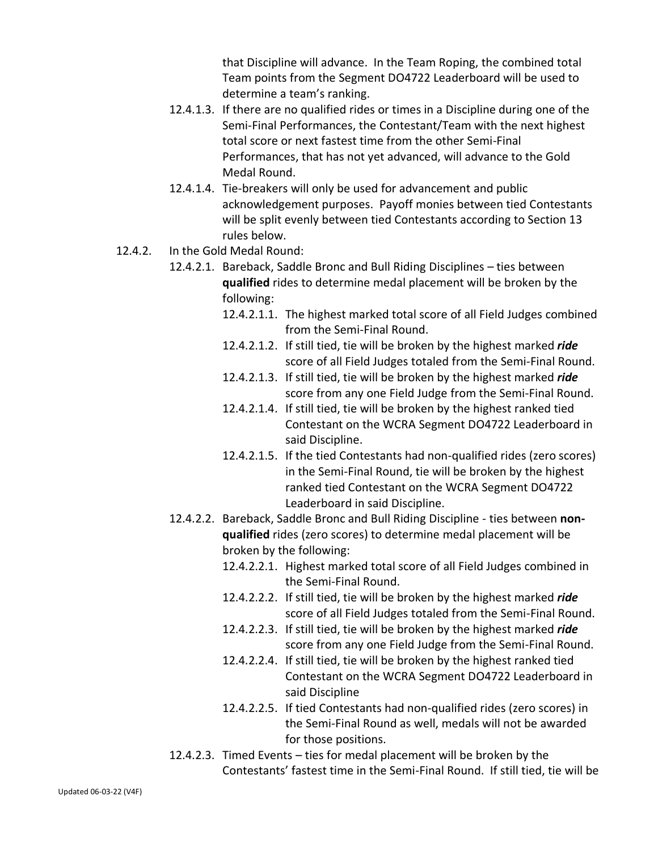that Discipline will advance. In the Team Roping, the combined total Team points from the Segment DO4722 Leaderboard will be used to determine a team's ranking.

- 12.4.1.3. If there are no qualified rides or times in a Discipline during one of the Semi-Final Performances, the Contestant/Team with the next highest total score or next fastest time from the other Semi-Final Performances, that has not yet advanced, will advance to the Gold Medal Round.
- 12.4.1.4. Tie-breakers will only be used for advancement and public acknowledgement purposes. Payoff monies between tied Contestants will be split evenly between tied Contestants according to Section 13 rules below.
- 12.4.2. In the Gold Medal Round:
	- 12.4.2.1. Bareback, Saddle Bronc and Bull Riding Disciplines ties between **qualified** rides to determine medal placement will be broken by the following:
		- 12.4.2.1.1. The highest marked total score of all Field Judges combined from the Semi-Final Round.
		- 12.4.2.1.2. If still tied, tie will be broken by the highest marked *ride* score of all Field Judges totaled from the Semi-Final Round.
		- 12.4.2.1.3. If still tied, tie will be broken by the highest marked *ride* score from any one Field Judge from the Semi-Final Round.
		- 12.4.2.1.4. If still tied, tie will be broken by the highest ranked tied Contestant on the WCRA Segment DO4722 Leaderboard in said Discipline.
		- 12.4.2.1.5. If the tied Contestants had non-qualified rides (zero scores) in the Semi-Final Round, tie will be broken by the highest ranked tied Contestant on the WCRA Segment DO4722 Leaderboard in said Discipline.
	- 12.4.2.2. Bareback, Saddle Bronc and Bull Riding Discipline ties between **nonqualified** rides (zero scores) to determine medal placement will be broken by the following:
		- 12.4.2.2.1. Highest marked total score of all Field Judges combined in the Semi-Final Round.
		- 12.4.2.2.2. If still tied, tie will be broken by the highest marked *ride* score of all Field Judges totaled from the Semi-Final Round.
		- 12.4.2.2.3. If still tied, tie will be broken by the highest marked *ride* score from any one Field Judge from the Semi-Final Round.
		- 12.4.2.2.4. If still tied, tie will be broken by the highest ranked tied Contestant on the WCRA Segment DO4722 Leaderboard in said Discipline
		- 12.4.2.2.5. If tied Contestants had non-qualified rides (zero scores) in the Semi-Final Round as well, medals will not be awarded for those positions.
	- 12.4.2.3. Timed Events ties for medal placement will be broken by the Contestants' fastest time in the Semi-Final Round. If still tied, tie will be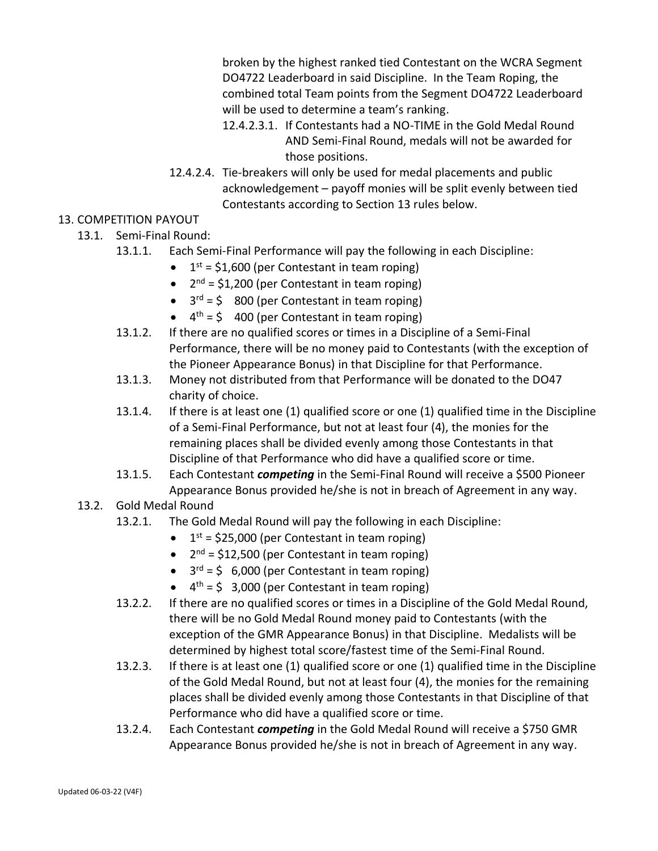broken by the highest ranked tied Contestant on the WCRA Segment DO4722 Leaderboard in said Discipline. In the Team Roping, the combined total Team points from the Segment DO4722 Leaderboard will be used to determine a team's ranking.

- 12.4.2.3.1. If Contestants had a NO-TIME in the Gold Medal Round AND Semi-Final Round, medals will not be awarded for those positions.
- 12.4.2.4. Tie-breakers will only be used for medal placements and public acknowledgement – payoff monies will be split evenly between tied Contestants according to Section 13 rules below.

## 13. COMPETITION PAYOUT

- 13.1. Semi-Final Round:
	- 13.1.1. Each Semi-Final Performance will pay the following in each Discipline:
		- $\bullet$  1<sup>st</sup> = \$1,600 (per Contestant in team roping)
		- $\bullet$  2<sup>nd</sup> = \$1,200 (per Contestant in team roping)
		- $\bullet$  3<sup>rd</sup> = \$ 800 (per Contestant in team roping)
		- $\bullet$  4<sup>th</sup> = \$400 (per Contestant in team roping)
	- 13.1.2. If there are no qualified scores or times in a Discipline of a Semi-Final Performance, there will be no money paid to Contestants (with the exception of the Pioneer Appearance Bonus) in that Discipline for that Performance.
	- 13.1.3. Money not distributed from that Performance will be donated to the DO47 charity of choice.
	- 13.1.4. If there is at least one (1) qualified score or one (1) qualified time in the Discipline of a Semi-Final Performance, but not at least four (4), the monies for the remaining places shall be divided evenly among those Contestants in that Discipline of that Performance who did have a qualified score or time.
	- 13.1.5. Each Contestant *competing* in the Semi-Final Round will receive a \$500 Pioneer Appearance Bonus provided he/she is not in breach of Agreement in any way.
- 13.2. Gold Medal Round
	- 13.2.1. The Gold Medal Round will pay the following in each Discipline:
		- $\bullet$  1<sup>st</sup> = \$25,000 (per Contestant in team roping)
		- $\bullet$  2<sup>nd</sup> = \$12,500 (per Contestant in team roping)
		- $\bullet$  3<sup>rd</sup> = \$ 6,000 (per Contestant in team roping)
		- $\bullet$  4<sup>th</sup> = \$ 3,000 (per Contestant in team roping)
	- 13.2.2. If there are no qualified scores or times in a Discipline of the Gold Medal Round, there will be no Gold Medal Round money paid to Contestants (with the exception of the GMR Appearance Bonus) in that Discipline. Medalists will be determined by highest total score/fastest time of the Semi-Final Round.
	- 13.2.3. If there is at least one (1) qualified score or one (1) qualified time in the Discipline of the Gold Medal Round, but not at least four (4), the monies for the remaining places shall be divided evenly among those Contestants in that Discipline of that Performance who did have a qualified score or time.
	- 13.2.4. Each Contestant *competing* in the Gold Medal Round will receive a \$750 GMR Appearance Bonus provided he/she is not in breach of Agreement in any way.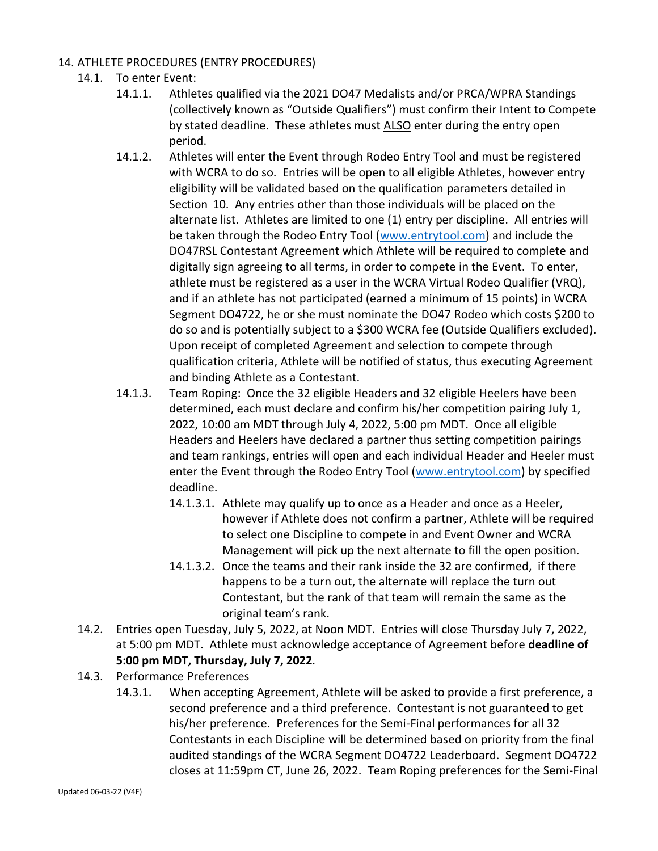## 14. ATHLETE PROCEDURES (ENTRY PROCEDURES)

- 14.1. To enter Event:
	- 14.1.1. Athletes qualified via the 2021 DO47 Medalists and/or PRCA/WPRA Standings (collectively known as "Outside Qualifiers") must confirm their Intent to Compete by stated deadline. These athletes must ALSO enter during the entry open period.
	- 14.1.2. Athletes will enter the Event through Rodeo Entry Tool and must be registered with WCRA to do so. Entries will be open to all eligible Athletes, however entry eligibility will be validated based on the qualification parameters detailed in Section 10. Any entries other than those individuals will be placed on the alternate list. Athletes are limited to one (1) entry per discipline. All entries will be taken through the Rodeo Entry Tool [\(www.entrytool.com\)](http://www.entrytool.com/) and include the DO47RSL Contestant Agreement which Athlete will be required to complete and digitally sign agreeing to all terms, in order to compete in the Event. To enter, athlete must be registered as a user in the WCRA Virtual Rodeo Qualifier (VRQ), and if an athlete has not participated (earned a minimum of 15 points) in WCRA Segment DO4722, he or she must nominate the DO47 Rodeo which costs \$200 to do so and is potentially subject to a \$300 WCRA fee (Outside Qualifiers excluded). Upon receipt of completed Agreement and selection to compete through qualification criteria, Athlete will be notified of status, thus executing Agreement and binding Athlete as a Contestant.
	- 14.1.3. Team Roping: Once the 32 eligible Headers and 32 eligible Heelers have been determined, each must declare and confirm his/her competition pairing July 1, 2022, 10:00 am MDT through July 4, 2022, 5:00 pm MDT. Once all eligible Headers and Heelers have declared a partner thus setting competition pairings and team rankings, entries will open and each individual Header and Heeler must enter the Event through the Rodeo Entry Tool [\(www.entrytool.com\)](http://www.entrytool.com/) by specified deadline.
		- 14.1.3.1. Athlete may qualify up to once as a Header and once as a Heeler, however if Athlete does not confirm a partner, Athlete will be required to select one Discipline to compete in and Event Owner and WCRA Management will pick up the next alternate to fill the open position.
		- 14.1.3.2. Once the teams and their rank inside the 32 are confirmed, if there happens to be a turn out, the alternate will replace the turn out Contestant, but the rank of that team will remain the same as the original team's rank.
- 14.2. Entries open Tuesday, July 5, 2022, at Noon MDT. Entries will close Thursday July 7, 2022, at 5:00 pm MDT. Athlete must acknowledge acceptance of Agreement before **deadline of 5:00 pm MDT, Thursday, July 7, 2022**.
- 14.3. Performance Preferences
	- 14.3.1. When accepting Agreement, Athlete will be asked to provide a first preference, a second preference and a third preference. Contestant is not guaranteed to get his/her preference. Preferences for the Semi-Final performances for all 32 Contestants in each Discipline will be determined based on priority from the final audited standings of the WCRA Segment DO4722 Leaderboard. Segment DO4722 closes at 11:59pm CT, June 26, 2022. Team Roping preferences for the Semi-Final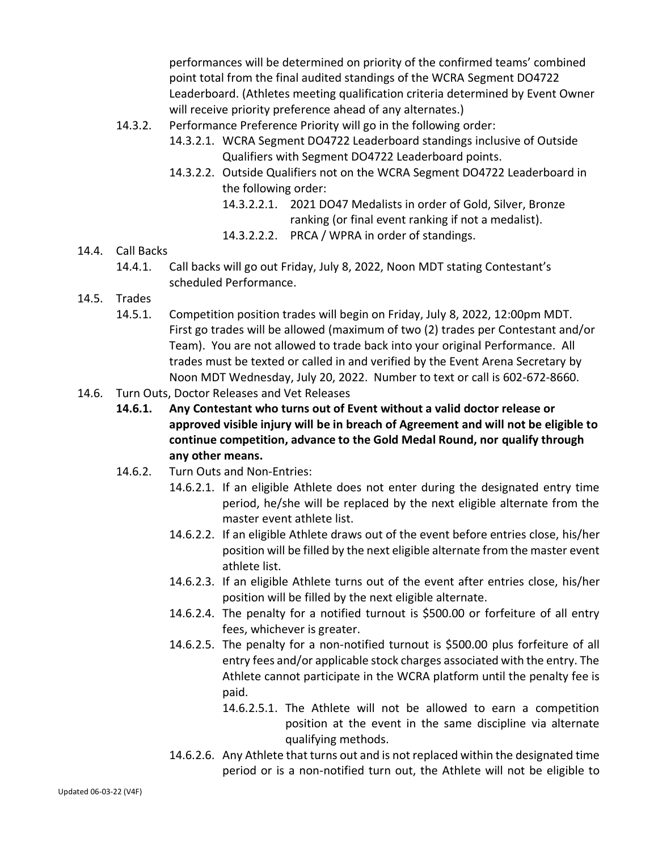performances will be determined on priority of the confirmed teams' combined point total from the final audited standings of the WCRA Segment DO4722 Leaderboard. (Athletes meeting qualification criteria determined by Event Owner will receive priority preference ahead of any alternates.)

- 14.3.2. Performance Preference Priority will go in the following order:
	- 14.3.2.1. WCRA Segment DO4722 Leaderboard standings inclusive of Outside Qualifiers with Segment DO4722 Leaderboard points.
	- 14.3.2.2. Outside Qualifiers not on the WCRA Segment DO4722 Leaderboard in the following order:
		- 14.3.2.2.1. 2021 DO47 Medalists in order of Gold, Silver, Bronze ranking (or final event ranking if not a medalist).
		- 14.3.2.2.2. PRCA / WPRA in order of standings.
- 14.4. Call Backs
	- 14.4.1. Call backs will go out Friday, July 8, 2022, Noon MDT stating Contestant's scheduled Performance.
- 14.5. Trades
	- 14.5.1. Competition position trades will begin on Friday, July 8, 2022, 12:00pm MDT. First go trades will be allowed (maximum of two (2) trades per Contestant and/or Team). You are not allowed to trade back into your original Performance. All trades must be texted or called in and verified by the Event Arena Secretary by Noon MDT Wednesday, July 20, 2022. Number to text or call is 602-672-8660.
- 14.6. Turn Outs, Doctor Releases and Vet Releases
	- **14.6.1. Any Contestant who turns out of Event without a valid doctor release or approved visible injury will be in breach of Agreement and will not be eligible to continue competition, advance to the Gold Medal Round, nor qualify through any other means.**
	- 14.6.2. Turn Outs and Non-Entries:
		- 14.6.2.1. If an eligible Athlete does not enter during the designated entry time period, he/she will be replaced by the next eligible alternate from the master event athlete list.
		- 14.6.2.2. If an eligible Athlete draws out of the event before entries close, his/her position will be filled by the next eligible alternate from the master event athlete list.
		- 14.6.2.3. If an eligible Athlete turns out of the event after entries close, his/her position will be filled by the next eligible alternate.
		- 14.6.2.4. The penalty for a notified turnout is \$500.00 or forfeiture of all entry fees, whichever is greater.
		- 14.6.2.5. The penalty for a non-notified turnout is \$500.00 plus forfeiture of all entry fees and/or applicable stock charges associated with the entry. The Athlete cannot participate in the WCRA platform until the penalty fee is paid.
			- 14.6.2.5.1. The Athlete will not be allowed to earn a competition position at the event in the same discipline via alternate qualifying methods.
		- 14.6.2.6. Any Athlete that turns out and is not replaced within the designated time period or is a non-notified turn out, the Athlete will not be eligible to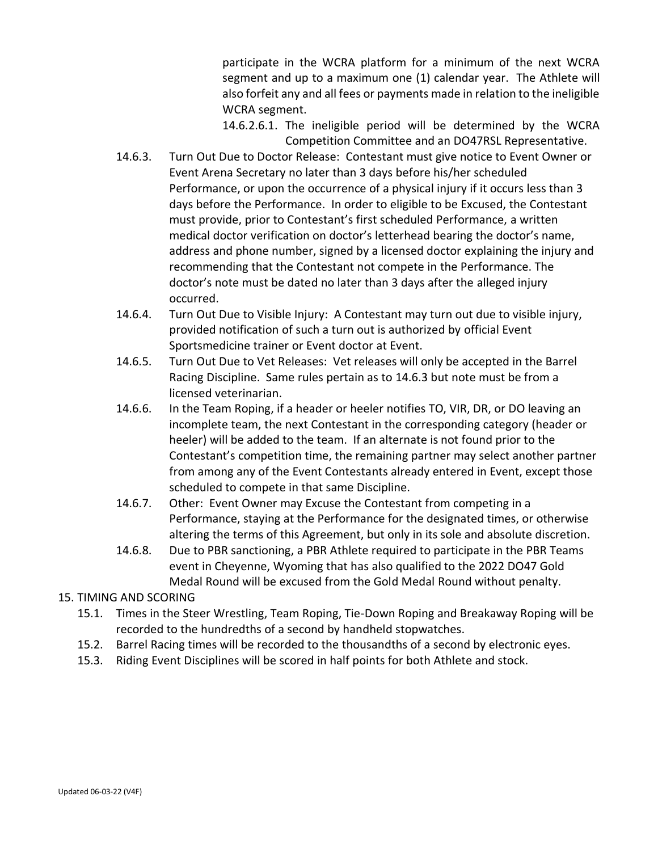participate in the WCRA platform for a minimum of the next WCRA segment and up to a maximum one (1) calendar year. The Athlete will also forfeit any and all fees or payments made in relation to the ineligible WCRA segment.

14.6.2.6.1. The ineligible period will be determined by the WCRA Competition Committee and an DO47RSL Representative.

- 14.6.3. Turn Out Due to Doctor Release: Contestant must give notice to Event Owner or Event Arena Secretary no later than 3 days before his/her scheduled Performance, or upon the occurrence of a physical injury if it occurs less than 3 days before the Performance. In order to eligible to be Excused, the Contestant must provide, prior to Contestant's first scheduled Performance, a written medical doctor verification on doctor's letterhead bearing the doctor's name, address and phone number, signed by a licensed doctor explaining the injury and recommending that the Contestant not compete in the Performance. The doctor's note must be dated no later than 3 days after the alleged injury occurred.
- 14.6.4. Turn Out Due to Visible Injury: A Contestant may turn out due to visible injury, provided notification of such a turn out is authorized by official Event Sportsmedicine trainer or Event doctor at Event.
- 14.6.5. Turn Out Due to Vet Releases: Vet releases will only be accepted in the Barrel Racing Discipline. Same rules pertain as to 14.6.3 but note must be from a licensed veterinarian.
- 14.6.6. In the Team Roping, if a header or heeler notifies TO, VIR, DR, or DO leaving an incomplete team, the next Contestant in the corresponding category (header or heeler) will be added to the team. If an alternate is not found prior to the Contestant's competition time, the remaining partner may select another partner from among any of the Event Contestants already entered in Event, except those scheduled to compete in that same Discipline.
- 14.6.7. Other: Event Owner may Excuse the Contestant from competing in a Performance, staying at the Performance for the designated times, or otherwise altering the terms of this Agreement, but only in its sole and absolute discretion.
- 14.6.8. Due to PBR sanctioning, a PBR Athlete required to participate in the PBR Teams event in Cheyenne, Wyoming that has also qualified to the 2022 DO47 Gold Medal Round will be excused from the Gold Medal Round without penalty.

# 15. TIMING AND SCORING

- 15.1. Times in the Steer Wrestling, Team Roping, Tie-Down Roping and Breakaway Roping will be recorded to the hundredths of a second by handheld stopwatches.
- 15.2. Barrel Racing times will be recorded to the thousandths of a second by electronic eyes.
- 15.3. Riding Event Disciplines will be scored in half points for both Athlete and stock.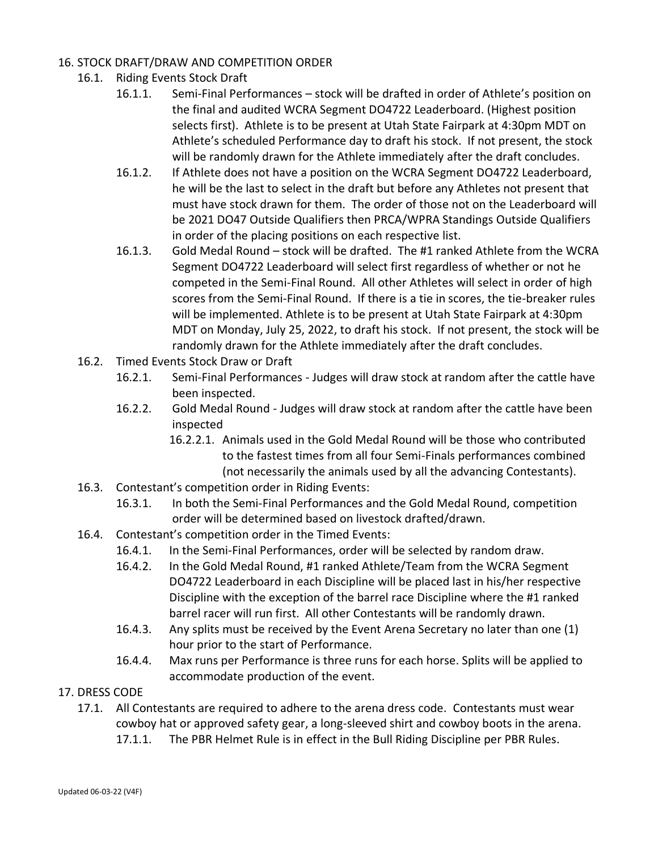## 16. STOCK DRAFT/DRAW AND COMPETITION ORDER

- 16.1. Riding Events Stock Draft
	- 16.1.1. Semi-Final Performances stock will be drafted in order of Athlete's position on the final and audited WCRA Segment DO4722 Leaderboard. (Highest position selects first). Athlete is to be present at Utah State Fairpark at 4:30pm MDT on Athlete's scheduled Performance day to draft his stock. If not present, the stock will be randomly drawn for the Athlete immediately after the draft concludes.
	- 16.1.2. If Athlete does not have a position on the WCRA Segment DO4722 Leaderboard, he will be the last to select in the draft but before any Athletes not present that must have stock drawn for them. The order of those not on the Leaderboard will be 2021 DO47 Outside Qualifiers then PRCA/WPRA Standings Outside Qualifiers in order of the placing positions on each respective list.
	- 16.1.3. Gold Medal Round stock will be drafted. The #1 ranked Athlete from the WCRA Segment DO4722 Leaderboard will select first regardless of whether or not he competed in the Semi-Final Round. All other Athletes will select in order of high scores from the Semi-Final Round. If there is a tie in scores, the tie-breaker rules will be implemented. Athlete is to be present at Utah State Fairpark at 4:30pm MDT on Monday, July 25, 2022, to draft his stock. If not present, the stock will be randomly drawn for the Athlete immediately after the draft concludes.
- 16.2. Timed Events Stock Draw or Draft
	- 16.2.1. Semi-Final Performances Judges will draw stock at random after the cattle have been inspected.
	- 16.2.2. Gold Medal Round Judges will draw stock at random after the cattle have been inspected
		- 16.2.2.1. Animals used in the Gold Medal Round will be those who contributed to the fastest times from all four Semi-Finals performances combined (not necessarily the animals used by all the advancing Contestants).
- 16.3. Contestant's competition order in Riding Events:
	- 16.3.1. In both the Semi-Final Performances and the Gold Medal Round, competition order will be determined based on livestock drafted/drawn.
- 16.4. Contestant's competition order in the Timed Events:
	- 16.4.1. In the Semi-Final Performances, order will be selected by random draw.
	- 16.4.2. In the Gold Medal Round, #1 ranked Athlete/Team from the WCRA Segment DO4722 Leaderboard in each Discipline will be placed last in his/her respective Discipline with the exception of the barrel race Discipline where the #1 ranked barrel racer will run first. All other Contestants will be randomly drawn.
	- 16.4.3. Any splits must be received by the Event Arena Secretary no later than one (1) hour prior to the start of Performance.
	- 16.4.4. Max runs per Performance is three runs for each horse. Splits will be applied to accommodate production of the event.
- 17. DRESS CODE
	- 17.1. All Contestants are required to adhere to the arena dress code. Contestants must wear cowboy hat or approved safety gear, a long-sleeved shirt and cowboy boots in the arena.
		- 17.1.1. The PBR Helmet Rule is in effect in the Bull Riding Discipline per PBR Rules.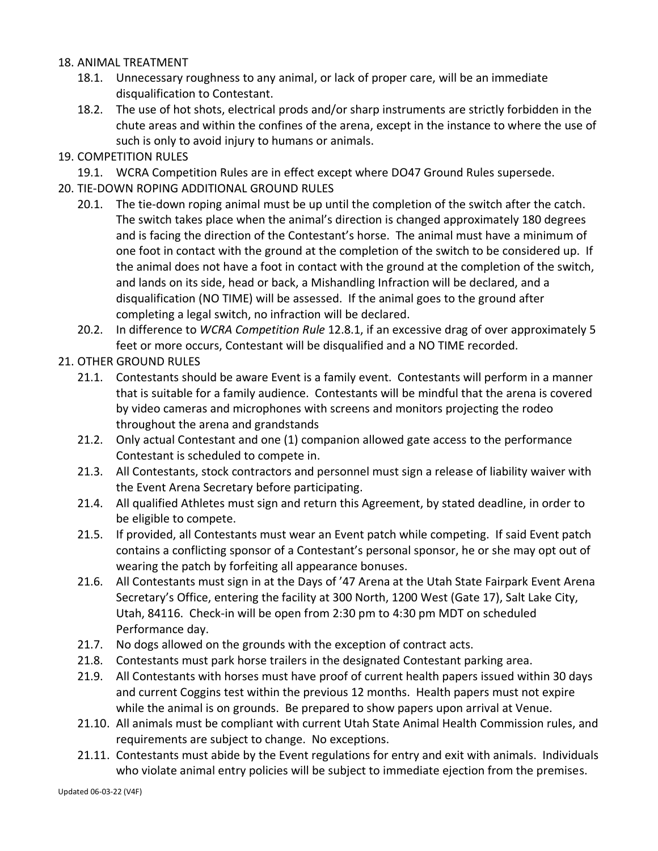### 18. ANIMAL TREATMENT

- 18.1. Unnecessary roughness to any animal, or lack of proper care, will be an immediate disqualification to Contestant.
- 18.2. The use of hot shots, electrical prods and/or sharp instruments are strictly forbidden in the chute areas and within the confines of the arena, except in the instance to where the use of such is only to avoid injury to humans or animals.
- 19. COMPETITION RULES
	- 19.1. WCRA Competition Rules are in effect except where DO47 Ground Rules supersede.
- 20. TIE-DOWN ROPING ADDITIONAL GROUND RULES
	- 20.1. The tie-down roping animal must be up until the completion of the switch after the catch. The switch takes place when the animal's direction is changed approximately 180 degrees and is facing the direction of the Contestant's horse. The animal must have a minimum of one foot in contact with the ground at the completion of the switch to be considered up. If the animal does not have a foot in contact with the ground at the completion of the switch, and lands on its side, head or back, a Mishandling Infraction will be declared, and a disqualification (NO TIME) will be assessed. If the animal goes to the ground after completing a legal switch, no infraction will be declared.
	- 20.2. In difference to *WCRA Competition Rule* 12.8.1, if an excessive drag of over approximately 5 feet or more occurs, Contestant will be disqualified and a NO TIME recorded.
- 21. OTHER GROUND RULES
	- 21.1. Contestants should be aware Event is a family event. Contestants will perform in a manner that is suitable for a family audience. Contestants will be mindful that the arena is covered by video cameras and microphones with screens and monitors projecting the rodeo throughout the arena and grandstands
	- 21.2. Only actual Contestant and one (1) companion allowed gate access to the performance Contestant is scheduled to compete in.
	- 21.3. All Contestants, stock contractors and personnel must sign a release of liability waiver with the Event Arena Secretary before participating.
	- 21.4. All qualified Athletes must sign and return this Agreement, by stated deadline, in order to be eligible to compete.
	- 21.5. If provided, all Contestants must wear an Event patch while competing. If said Event patch contains a conflicting sponsor of a Contestant's personal sponsor, he or she may opt out of wearing the patch by forfeiting all appearance bonuses.
	- 21.6. All Contestants must sign in at the Days of '47 Arena at the Utah State Fairpark Event Arena Secretary's Office, entering the facility at 300 North, 1200 West (Gate 17), Salt Lake City, Utah, 84116. Check-in will be open from 2:30 pm to 4:30 pm MDT on scheduled Performance day.
	- 21.7. No dogs allowed on the grounds with the exception of contract acts.
	- 21.8. Contestants must park horse trailers in the designated Contestant parking area.
	- 21.9. All Contestants with horses must have proof of current health papers issued within 30 days and current Coggins test within the previous 12 months. Health papers must not expire while the animal is on grounds. Be prepared to show papers upon arrival at Venue.
	- 21.10. All animals must be compliant with current Utah State Animal Health Commission rules, and requirements are subject to change. No exceptions.
	- 21.11. Contestants must abide by the Event regulations for entry and exit with animals. Individuals who violate animal entry policies will be subject to immediate ejection from the premises.